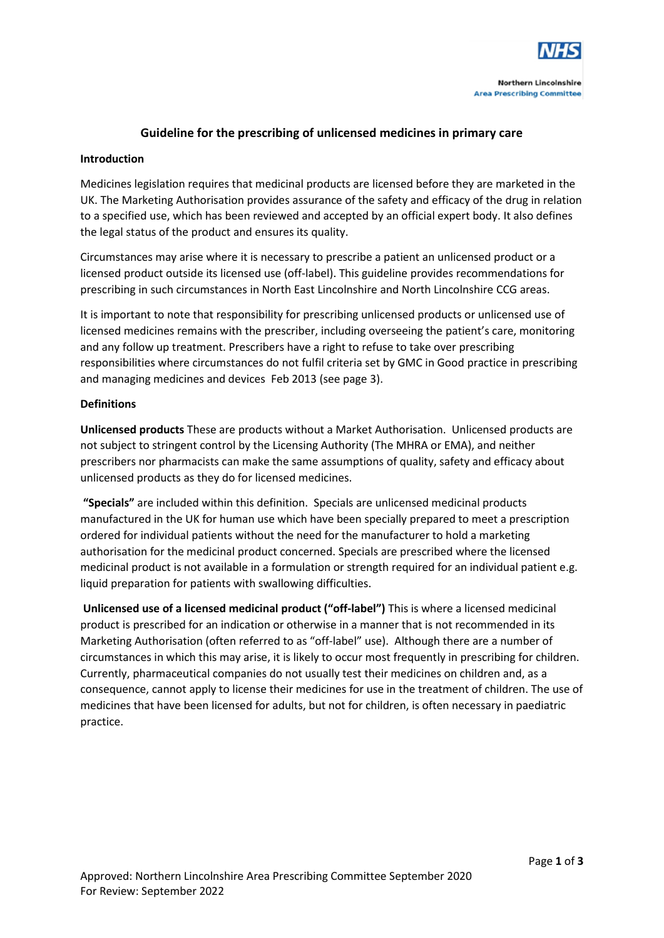

# **Guideline for the prescribing of unlicensed medicines in primary care**

# **Introduction**

Medicines legislation requires that medicinal products are licensed before they are marketed in the UK. The Marketing Authorisation provides assurance of the safety and efficacy of the drug in relation to a specified use, which has been reviewed and accepted by an official expert body. It also defines the legal status of the product and ensures its quality.

Circumstances may arise where it is necessary to prescribe a patient an unlicensed product or a licensed product outside its licensed use (off-label). This guideline provides recommendations for prescribing in such circumstances in North East Lincolnshire and North Lincolnshire CCG areas.

It is important to note that responsibility for prescribing unlicensed products or unlicensed use of licensed medicines remains with the prescriber, including overseeing the patient's care, monitoring and any follow up treatment. Prescribers have a right to refuse to take over prescribing responsibilities where circumstances do not fulfil criteria set by GMC in Good practice in prescribing and managing medicines and devices Feb 2013 (see page 3).

# **Definitions**

**Unlicensed products** These are products without a Market Authorisation. Unlicensed products are not subject to stringent control by the Licensing Authority (The MHRA or EMA), and neither prescribers nor pharmacists can make the same assumptions of quality, safety and efficacy about unlicensed products as they do for licensed medicines.

**"Specials"** are included within this definition. Specials are unlicensed medicinal products manufactured in the UK for human use which have been specially prepared to meet a prescription ordered for individual patients without the need for the manufacturer to hold a marketing authorisation for the medicinal product concerned. Specials are prescribed where the licensed medicinal product is not available in a formulation or strength required for an individual patient e.g. liquid preparation for patients with swallowing difficulties.

**Unlicensed use of a licensed medicinal product ("off-label")** This is where a licensed medicinal product is prescribed for an indication or otherwise in a manner that is not recommended in its Marketing Authorisation (often referred to as "off-label" use). Although there are a number of circumstances in which this may arise, it is likely to occur most frequently in prescribing for children. Currently, pharmaceutical companies do not usually test their medicines on children and, as a consequence, cannot apply to license their medicines for use in the treatment of children. The use of medicines that have been licensed for adults, but not for children, is often necessary in paediatric practice.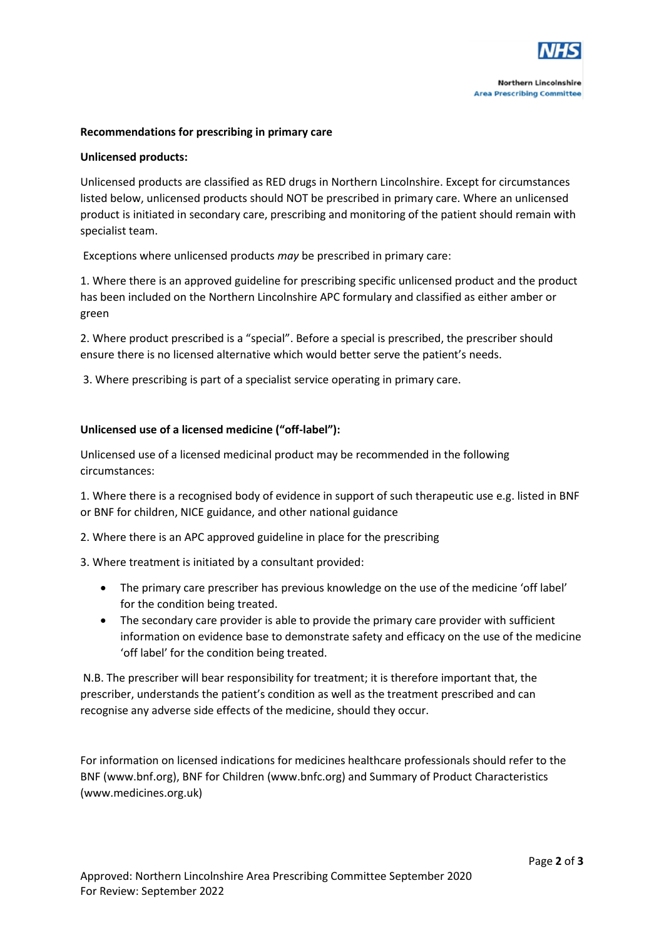

# **Recommendations for prescribing in primary care**

# **Unlicensed products:**

Unlicensed products are classified as RED drugs in Northern Lincolnshire. Except for circumstances listed below, unlicensed products should NOT be prescribed in primary care. Where an unlicensed product is initiated in secondary care, prescribing and monitoring of the patient should remain with specialist team.

Exceptions where unlicensed products *may* be prescribed in primary care:

1. Where there is an approved guideline for prescribing specific unlicensed product and the product has been included on the Northern Lincolnshire APC formulary and classified as either amber or green

2. Where product prescribed is a "special". Before a special is prescribed, the prescriber should ensure there is no licensed alternative which would better serve the patient's needs.

3. Where prescribing is part of a specialist service operating in primary care.

# **Unlicensed use of a licensed medicine ("off-label"):**

Unlicensed use of a licensed medicinal product may be recommended in the following circumstances:

1. Where there is a recognised body of evidence in support of such therapeutic use e.g. listed in BNF or BNF for children, NICE guidance, and other national guidance

2. Where there is an APC approved guideline in place for the prescribing

3. Where treatment is initiated by a consultant provided:

- The primary care prescriber has previous knowledge on the use of the medicine 'off label' for the condition being treated.
- The secondary care provider is able to provide the primary care provider with sufficient information on evidence base to demonstrate safety and efficacy on the use of the medicine 'off label' for the condition being treated.

N.B. The prescriber will bear responsibility for treatment; it is therefore important that, the prescriber, understands the patient's condition as well as the treatment prescribed and can recognise any adverse side effects of the medicine, should they occur.

For information on licensed indications for medicines healthcare professionals should refer to the BNF (www.bnf.org), BNF for Children (www.bnfc.org) and Summary of Product Characteristics (www.medicines.org.uk)